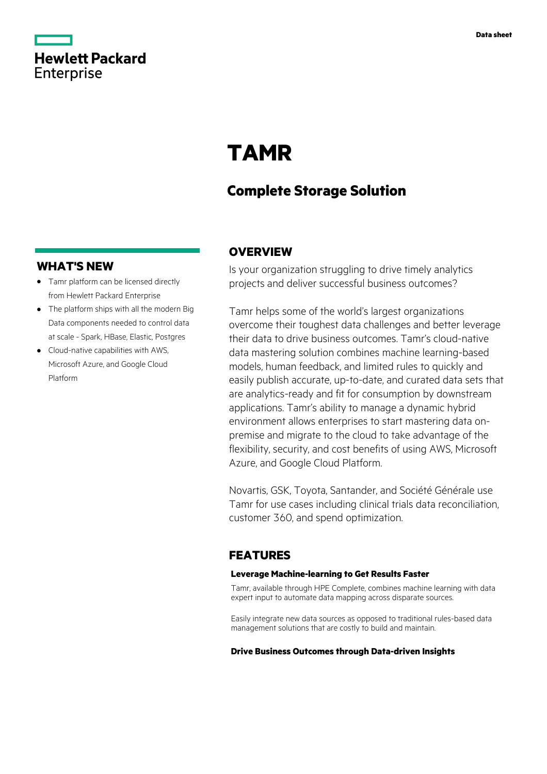

# **TAMR**

## **Complete Storage Solution**

### **WHAT'S NEW**

- **·** Tamr platform can be licensed directly from Hewlett Packard Enterprise
- **·** The platform ships with all the modern Big Data components needed to control data at scale - Spark, HBase, Elastic, Postgres
- **·** Cloud-native capabilities with AWS, Microsoft Azure, and Google Cloud Platform

## **OVERVIEW**

Is your organization struggling to drive timely analytics projects and deliver successful business outcomes?

Tamr helps some of the world's largest organizations overcome their toughest data challenges and better leverage their data to drive business outcomes. Tamr's cloud-native data mastering solution combines machine learning-based models, human feedback, and limited rules to quickly and easily publish accurate, up-to-date, and curated data sets that are analytics-ready and fit for consumption by downstream applications. Tamr's ability to manage a dynamic hybrid environment allows enterprises to start mastering data onpremise and migrate to the cloud to take advantage of the flexibility, security, and cost benefits of using AWS, Microsoft Azure, and Google Cloud Platform.

Novartis, GSK, Toyota, Santander, and Société Générale use Tamr for use cases including clinical trials data reconciliation, customer 360, and spend optimization.

### **FEATURES**

#### **Leverage Machine-learning to Get Results Faster**

Tamr, available through HPE Complete, combines machine learning with data expert input to automate data mapping across disparate sources.

Easily integrate new data sources as opposed to traditional rules-based data management solutions that are costly to build and maintain.

**Drive Business Outcomes through Data-driven Insights**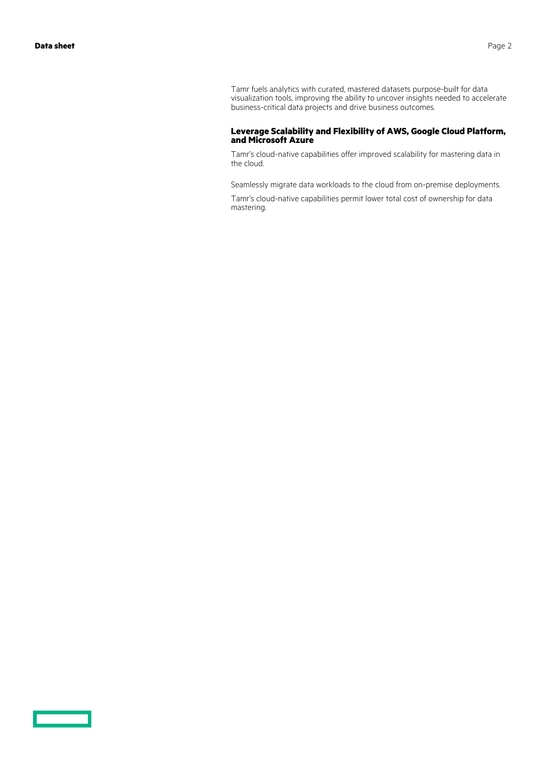Tamr fuels analytics with curated, mastered datasets purpose-built for data visualization tools, improving the ability to uncover insights needed to accelerate business-critical data projects and drive business outcomes.

#### **Leverage Scalability and Flexibility of AWS, Google Cloud Platform, and Microsoft Azure**

Tamr's cloud-native capabilities offer improved scalability for mastering data in the cloud.

Seamlessly migrate data workloads to the cloud from on-premise deployments.

Tamr's cloud-native capabilities permit lower total cost of ownership for data mastering.